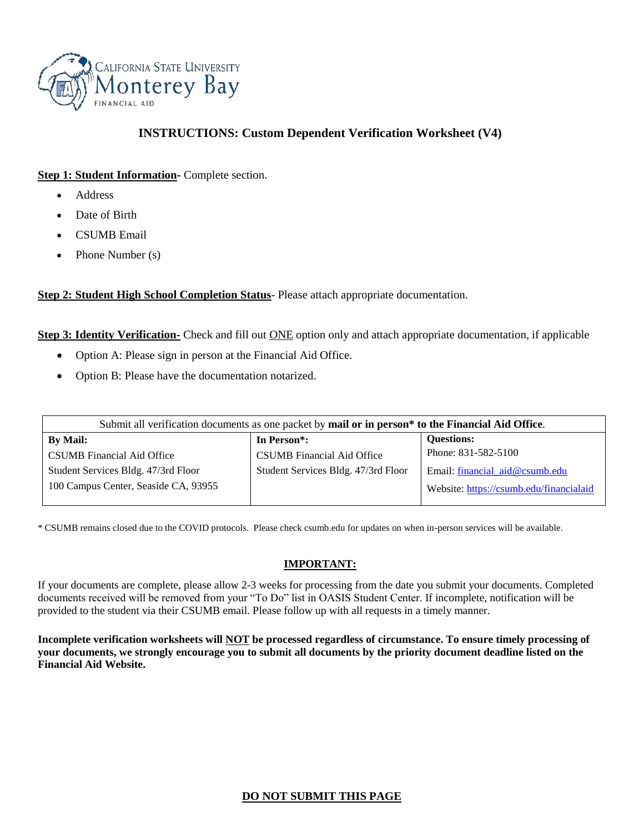

# **INSTRUCTIONS: Custom Dependent Verification Worksheet (V4)**

### **Step 1: Student Information-** Complete section.

- Address
- Date of Birth
- CSUMB Email
- Phone Number (s)

**Step 2: Student High School Completion Status**- Please attach appropriate documentation.

**Step 3: Identity Verification-** Check and fill out **ONE** option only and attach appropriate documentation, if applicable

- Option A: Please sign in person at the Financial Aid Office.
- Option B: Please have the documentation notarized.

| Submit all verification documents as one packet by mail or in person* to the Financial Aid Office. |                                     |                                         |  |
|----------------------------------------------------------------------------------------------------|-------------------------------------|-----------------------------------------|--|
| <b>By Mail:</b>                                                                                    | In Person <sup>*</sup> :            | <b>Questions:</b>                       |  |
| CSUMB Financial Aid Office                                                                         | <b>CSUMB</b> Financial Aid Office   | Phone: 831-582-5100                     |  |
| Student Services Bldg. 47/3rd Floor                                                                | Student Services Bldg. 47/3rd Floor | Email: financial_aid@csumb.edu          |  |
| 100 Campus Center, Seaside CA, 93955                                                               |                                     | Website: https://csumb.edu/financialaid |  |

\* CSUMB remains closed due to the COVID protocols. Please check csumb.edu for updates on when in-person services will be available.

#### **IMPORTANT:**

If your documents are complete, please allow 2-3 weeks for processing from the date you submit your documents. Completed documents received will be removed from your "To Do" list in OASIS Student Center. If incomplete, notification will be provided to the student via their CSUMB email. Please follow up with all requests in a timely manner.

**Incomplete verification worksheets will NOT be processed regardless of circumstance. To ensure timely processing of your documents, we strongly encourage you to submit all documents by the priority document deadline listed on the Financial Aid Website.**

## **DO NOT SUBMIT THIS PAGE**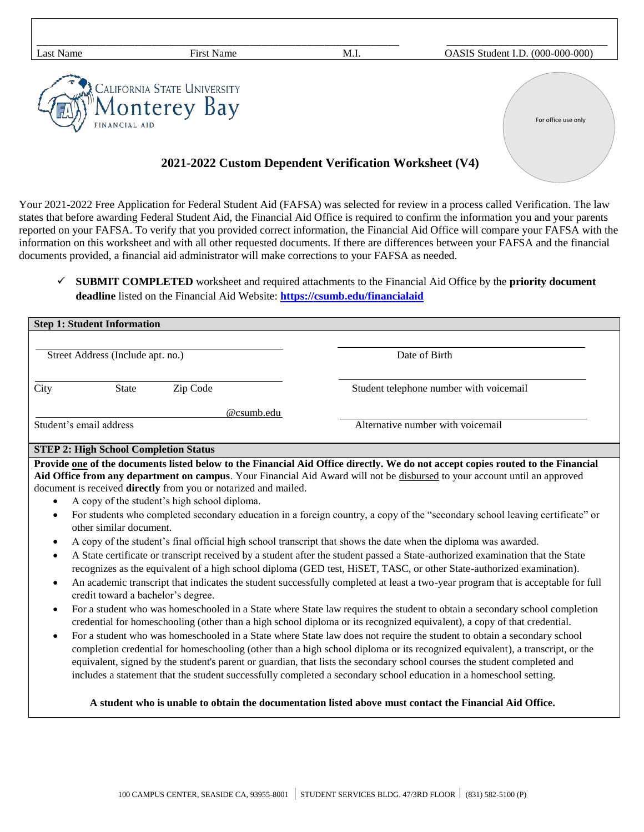| Last Name     | <b>First Name</b>                            | M.I. | OASIS Student I.D. (000-000-000) |
|---------------|----------------------------------------------|------|----------------------------------|
| FINANCIAL AID | CALIFORNIA STATE UNIVERSITY<br>'Monterey Bay |      | For office use only              |

## **2021-2022 Custom Dependent Verification Worksheet (V4)**

Your 2021-2022 Free Application for Federal Student Aid (FAFSA) was selected for review in a process called Verification. The law states that before awarding Federal Student Aid, the Financial Aid Office is required to confirm the information you and your parents reported on your FAFSA. To verify that you provided correct information, the Financial Aid Office will compare your FAFSA with the information on this worksheet and with all other requested documents. If there are differences between your FAFSA and the financial documents provided, a financial aid administrator will make corrections to your FAFSA as needed.

✓ **SUBMIT COMPLETED** worksheet and required attachments to the Financial Aid Office by the **priority document deadline** listed on the Financial Aid Website: **<https://csumb.edu/financialaid>**

| <b>Step 1: Student Information</b>                                                                                                                                                  |                                                                                                                                                               |          |                                         |  |  |
|-------------------------------------------------------------------------------------------------------------------------------------------------------------------------------------|---------------------------------------------------------------------------------------------------------------------------------------------------------------|----------|-----------------------------------------|--|--|
|                                                                                                                                                                                     |                                                                                                                                                               |          |                                         |  |  |
| Street Address (Include apt. no.)                                                                                                                                                   |                                                                                                                                                               |          | Date of Birth                           |  |  |
|                                                                                                                                                                                     |                                                                                                                                                               |          |                                         |  |  |
| City                                                                                                                                                                                | <b>State</b>                                                                                                                                                  | Zip Code | Student telephone number with voicemail |  |  |
|                                                                                                                                                                                     |                                                                                                                                                               |          | @csumb.edu                              |  |  |
|                                                                                                                                                                                     | Student's email address                                                                                                                                       |          | Alternative number with voicemail       |  |  |
|                                                                                                                                                                                     | <b>STEP 2: High School Completion Status</b>                                                                                                                  |          |                                         |  |  |
| Provide one of the documents listed below to the Financial Aid Office directly. We do not accept copies routed to the Financial                                                     |                                                                                                                                                               |          |                                         |  |  |
| Aid Office from any department on campus. Your Financial Aid Award will not be disbursed to your account until an approved                                                          |                                                                                                                                                               |          |                                         |  |  |
| $\bullet$                                                                                                                                                                           | document is received directly from you or notarized and mailed.<br>A copy of the student's high school diploma.                                               |          |                                         |  |  |
| For students who completed secondary education in a foreign country, a copy of the "secondary school leaving certificate" or<br>$\bullet$                                           |                                                                                                                                                               |          |                                         |  |  |
|                                                                                                                                                                                     | other similar document.                                                                                                                                       |          |                                         |  |  |
| A copy of the student's final official high school transcript that shows the date when the diploma was awarded.<br>$\bullet$                                                        |                                                                                                                                                               |          |                                         |  |  |
| A State certificate or transcript received by a student after the student passed a State-authorized examination that the State<br>$\bullet$                                         |                                                                                                                                                               |          |                                         |  |  |
|                                                                                                                                                                                     | recognizes as the equivalent of a high school diploma (GED test, HiSET, TASC, or other State-authorized examination).                                         |          |                                         |  |  |
| An academic transcript that indicates the student successfully completed at least a two-year program that is acceptable for full<br>$\bullet$<br>credit toward a bachelor's degree. |                                                                                                                                                               |          |                                         |  |  |
|                                                                                                                                                                                     | $\mathcal{A}$ and $\mathcal{A}$ and $\mathcal{A}$ and $\mathcal{A}$ and $\mathcal{A}$ and $\mathcal{A}$ and $\mathcal{A}$ and $\mathcal{A}$ and $\mathcal{A}$ |          |                                         |  |  |

- For a student who was homeschooled in a State where State law requires the student to obtain a secondary school completion credential for homeschooling (other than a high school diploma or its recognized equivalent), a copy of that credential.
- For a student who was homeschooled in a State where State law does not require the student to obtain a secondary school completion credential for homeschooling (other than a high school diploma or its recognized equivalent), a transcript, or the equivalent, signed by the student's parent or guardian, that lists the secondary school courses the student completed and includes a statement that the student successfully completed a secondary school education in a homeschool setting.

#### **A student who is unable to obtain the documentation listed above must contact the Financial Aid Office.**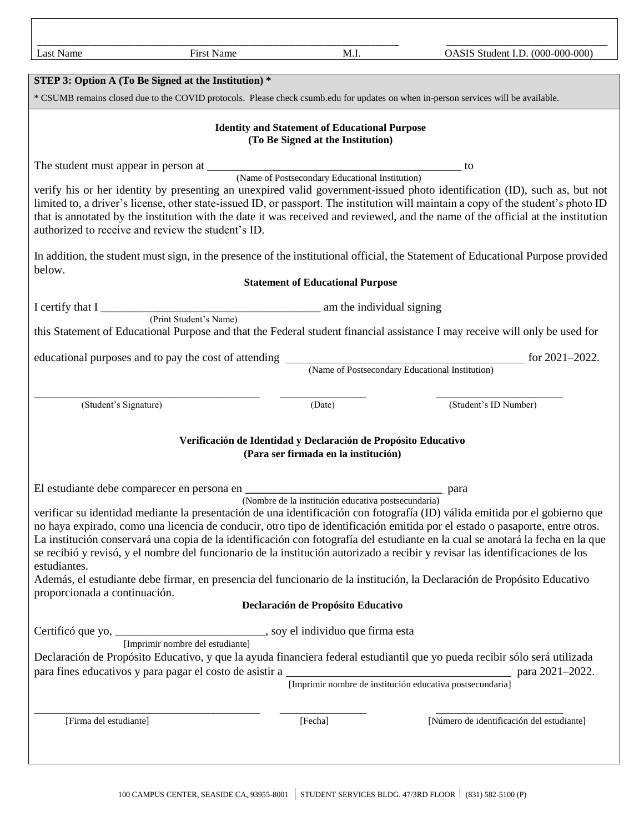| Last Name                                                                                                                                                                                                                                                                                                                                                                                                                                                                                                                                                                                                                                                                                                                                                                                                  | First Name                                                                                                                                                                                                                           | M.I.                                    | OASIS Student I.D. (000-000-000)                                                                                                 |  |  |
|------------------------------------------------------------------------------------------------------------------------------------------------------------------------------------------------------------------------------------------------------------------------------------------------------------------------------------------------------------------------------------------------------------------------------------------------------------------------------------------------------------------------------------------------------------------------------------------------------------------------------------------------------------------------------------------------------------------------------------------------------------------------------------------------------------|--------------------------------------------------------------------------------------------------------------------------------------------------------------------------------------------------------------------------------------|-----------------------------------------|----------------------------------------------------------------------------------------------------------------------------------|--|--|
|                                                                                                                                                                                                                                                                                                                                                                                                                                                                                                                                                                                                                                                                                                                                                                                                            | STEP 3: Option A (To Be Signed at the Institution) *                                                                                                                                                                                 |                                         |                                                                                                                                  |  |  |
| * CSUMB remains closed due to the COVID protocols. Please check csumb.edu for updates on when in-person services will be available.                                                                                                                                                                                                                                                                                                                                                                                                                                                                                                                                                                                                                                                                        |                                                                                                                                                                                                                                      |                                         |                                                                                                                                  |  |  |
|                                                                                                                                                                                                                                                                                                                                                                                                                                                                                                                                                                                                                                                                                                                                                                                                            |                                                                                                                                                                                                                                      |                                         |                                                                                                                                  |  |  |
| <b>Identity and Statement of Educational Purpose</b><br>(To Be Signed at the Institution)                                                                                                                                                                                                                                                                                                                                                                                                                                                                                                                                                                                                                                                                                                                  |                                                                                                                                                                                                                                      |                                         |                                                                                                                                  |  |  |
|                                                                                                                                                                                                                                                                                                                                                                                                                                                                                                                                                                                                                                                                                                                                                                                                            |                                                                                                                                                                                                                                      |                                         |                                                                                                                                  |  |  |
| verify his or her identity by presenting an unexpired valid government-issued photo identification (ID), such as, but not<br>limited to, a driver's license, other state-issued ID, or passport. The institution will maintain a copy of the student's photo ID<br>that is annotated by the institution with the date it was received and reviewed, and the name of the official at the institution<br>authorized to receive and review the student's ID.                                                                                                                                                                                                                                                                                                                                                  |                                                                                                                                                                                                                                      |                                         |                                                                                                                                  |  |  |
| below.                                                                                                                                                                                                                                                                                                                                                                                                                                                                                                                                                                                                                                                                                                                                                                                                     |                                                                                                                                                                                                                                      |                                         | In addition, the student must sign, in the presence of the institutional official, the Statement of Educational Purpose provided |  |  |
|                                                                                                                                                                                                                                                                                                                                                                                                                                                                                                                                                                                                                                                                                                                                                                                                            |                                                                                                                                                                                                                                      | <b>Statement of Educational Purpose</b> |                                                                                                                                  |  |  |
|                                                                                                                                                                                                                                                                                                                                                                                                                                                                                                                                                                                                                                                                                                                                                                                                            | I certify that I (Print Student's Name) am the individual signing                                                                                                                                                                    |                                         |                                                                                                                                  |  |  |
|                                                                                                                                                                                                                                                                                                                                                                                                                                                                                                                                                                                                                                                                                                                                                                                                            |                                                                                                                                                                                                                                      |                                         | this Statement of Educational Purpose and that the Federal student financial assistance I may receive will only be used for      |  |  |
|                                                                                                                                                                                                                                                                                                                                                                                                                                                                                                                                                                                                                                                                                                                                                                                                            | educational purposes and to pay the cost of attending<br>(Name of Postsecondary Educational Institution)<br>for $2021 - 2022$ .                                                                                                      |                                         |                                                                                                                                  |  |  |
|                                                                                                                                                                                                                                                                                                                                                                                                                                                                                                                                                                                                                                                                                                                                                                                                            |                                                                                                                                                                                                                                      |                                         |                                                                                                                                  |  |  |
| (Student's Signature)                                                                                                                                                                                                                                                                                                                                                                                                                                                                                                                                                                                                                                                                                                                                                                                      |                                                                                                                                                                                                                                      | (Date)                                  | (Student's ID Number)                                                                                                            |  |  |
|                                                                                                                                                                                                                                                                                                                                                                                                                                                                                                                                                                                                                                                                                                                                                                                                            |                                                                                                                                                                                                                                      |                                         |                                                                                                                                  |  |  |
| Verificación de Identidad y Declaración de Propósito Educativo<br>(Para ser firmada en la institución)                                                                                                                                                                                                                                                                                                                                                                                                                                                                                                                                                                                                                                                                                                     |                                                                                                                                                                                                                                      |                                         |                                                                                                                                  |  |  |
|                                                                                                                                                                                                                                                                                                                                                                                                                                                                                                                                                                                                                                                                                                                                                                                                            | El estudiante debe comparecer en persona en <b>el contrar en el contrar en el contrar en el contrar el contrar el contrar el contrar el contrar el contrar el contrar el contrar el contrar el contrar el contrar el contrar el </b> |                                         | <sub>-</sub> para                                                                                                                |  |  |
| (Nombre de la institución educativa postsecundaria)<br>verificar su identidad mediante la presentación de una identificación con fotografía (ID) válida emitida por el gobierno que<br>no haya expirado, como una licencia de conducir, otro tipo de identificación emitida por el estado o pasaporte, entre otros.<br>La institución conservará una copia de la identificación con fotografía del estudiante en la cual se anotará la fecha en la que<br>se recibió y revisó, y el nombre del funcionario de la institución autorizado a recibir y revisar las identificaciones de los<br>estudiantes.<br>Además, el estudiante debe firmar, en presencia del funcionario de la institución, la Declaración de Propósito Educativo<br>proporcionada a continuación.<br>Declaración de Propósito Educativo |                                                                                                                                                                                                                                      |                                         |                                                                                                                                  |  |  |
|                                                                                                                                                                                                                                                                                                                                                                                                                                                                                                                                                                                                                                                                                                                                                                                                            |                                                                                                                                                                                                                                      |                                         |                                                                                                                                  |  |  |
| Declaración de Propósito Educativo, y que la ayuda financiera federal estudiantil que yo pueda recibir sólo será utilizada<br>[Imprimir nombre de institución educativa postsecundaria]                                                                                                                                                                                                                                                                                                                                                                                                                                                                                                                                                                                                                    |                                                                                                                                                                                                                                      |                                         |                                                                                                                                  |  |  |
| [Firma del estudiante]                                                                                                                                                                                                                                                                                                                                                                                                                                                                                                                                                                                                                                                                                                                                                                                     |                                                                                                                                                                                                                                      | [Fecha]                                 | [Número de identificación del estudiante]                                                                                        |  |  |
|                                                                                                                                                                                                                                                                                                                                                                                                                                                                                                                                                                                                                                                                                                                                                                                                            |                                                                                                                                                                                                                                      |                                         |                                                                                                                                  |  |  |
|                                                                                                                                                                                                                                                                                                                                                                                                                                                                                                                                                                                                                                                                                                                                                                                                            |                                                                                                                                                                                                                                      |                                         |                                                                                                                                  |  |  |
|                                                                                                                                                                                                                                                                                                                                                                                                                                                                                                                                                                                                                                                                                                                                                                                                            |                                                                                                                                                                                                                                      |                                         |                                                                                                                                  |  |  |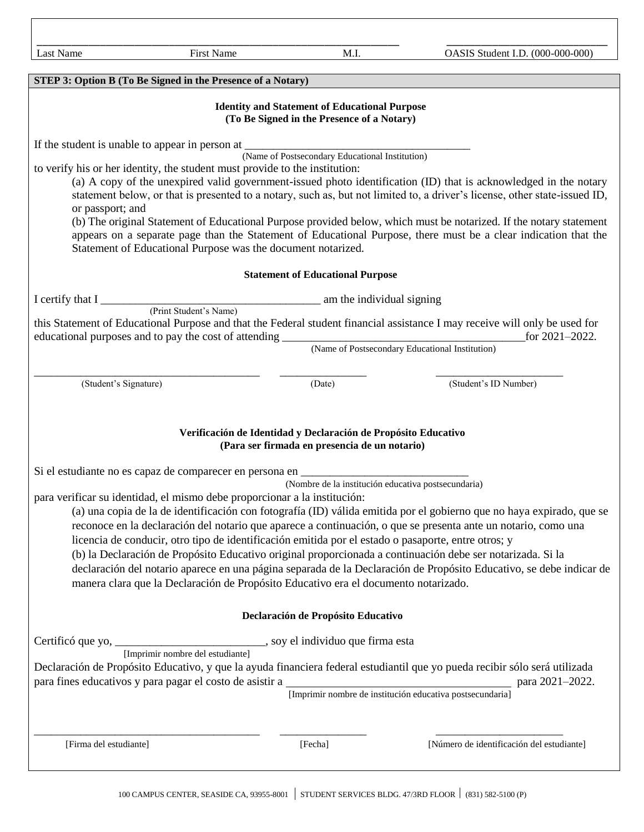| Last Name                                                                                                                                                                                                                                                                                                                                                                                                                                               | <b>First Name</b>                                                                                  | M.I.                                    | OASIS Student I.D. (000-000-000)          |  |
|---------------------------------------------------------------------------------------------------------------------------------------------------------------------------------------------------------------------------------------------------------------------------------------------------------------------------------------------------------------------------------------------------------------------------------------------------------|----------------------------------------------------------------------------------------------------|-----------------------------------------|-------------------------------------------|--|
|                                                                                                                                                                                                                                                                                                                                                                                                                                                         |                                                                                                    |                                         |                                           |  |
|                                                                                                                                                                                                                                                                                                                                                                                                                                                         | STEP 3: Option B (To Be Signed in the Presence of a Notary)                                        |                                         |                                           |  |
|                                                                                                                                                                                                                                                                                                                                                                                                                                                         | <b>Identity and Statement of Educational Purpose</b><br>(To Be Signed in the Presence of a Notary) |                                         |                                           |  |
| If the student is unable to appear in person at<br>(Name of Postsecondary Educational Institution)<br>to verify his or her identity, the student must provide to the institution:<br>(a) A copy of the unexpired valid government-issued photo identification (ID) that is acknowledged in the notary                                                                                                                                                   |                                                                                                    |                                         |                                           |  |
| statement below, or that is presented to a notary, such as, but not limited to, a driver's license, other state-issued ID,<br>or passport; and<br>(b) The original Statement of Educational Purpose provided below, which must be notarized. If the notary statement<br>appears on a separate page than the Statement of Educational Purpose, there must be a clear indication that the<br>Statement of Educational Purpose was the document notarized. |                                                                                                    |                                         |                                           |  |
|                                                                                                                                                                                                                                                                                                                                                                                                                                                         |                                                                                                    | <b>Statement of Educational Purpose</b> |                                           |  |
|                                                                                                                                                                                                                                                                                                                                                                                                                                                         |                                                                                                    |                                         |                                           |  |
| I certify that I (Print Student's Name) am the individual signing<br>this Statement of Educational Purpose and that the Federal student financial assistance I may receive will only be used for<br>for 2021-2022.                                                                                                                                                                                                                                      |                                                                                                    |                                         |                                           |  |
|                                                                                                                                                                                                                                                                                                                                                                                                                                                         |                                                                                                    |                                         |                                           |  |
| (Student's Signature)                                                                                                                                                                                                                                                                                                                                                                                                                                   |                                                                                                    | (Date)                                  | (Student's ID Number)                     |  |
| Verificación de Identidad y Declaración de Propósito Educativo<br>(Para ser firmada en presencia de un notario)                                                                                                                                                                                                                                                                                                                                         |                                                                                                    |                                         |                                           |  |
| Si el estudiante no es capaz de comparecer en persona en _______________________                                                                                                                                                                                                                                                                                                                                                                        |                                                                                                    |                                         |                                           |  |
| (Nombre de la institución educativa postsecundaria)<br>para verificar su identidad, el mismo debe proporcionar a la institución:                                                                                                                                                                                                                                                                                                                        |                                                                                                    |                                         |                                           |  |
| (a) una copia de la de identificación con fotografía (ID) válida emitida por el gobierno que no haya expirado, que se                                                                                                                                                                                                                                                                                                                                   |                                                                                                    |                                         |                                           |  |
| reconoce en la declaración del notario que aparece a continuación, o que se presenta ante un notario, como una<br>licencia de conducir, otro tipo de identificación emitida por el estado o pasaporte, entre otros; y                                                                                                                                                                                                                                   |                                                                                                    |                                         |                                           |  |
| (b) la Declaración de Propósito Educativo original proporcionada a continuación debe ser notarizada. Si la                                                                                                                                                                                                                                                                                                                                              |                                                                                                    |                                         |                                           |  |
| declaración del notario aparece en una página separada de la Declaración de Propósito Educativo, se debe indicar de<br>manera clara que la Declaración de Propósito Educativo era el documento notarizado.                                                                                                                                                                                                                                              |                                                                                                    |                                         |                                           |  |
| Declaración de Propósito Educativo                                                                                                                                                                                                                                                                                                                                                                                                                      |                                                                                                    |                                         |                                           |  |
|                                                                                                                                                                                                                                                                                                                                                                                                                                                         |                                                                                                    |                                         |                                           |  |
| Declaración de Propósito Educativo, y que la ayuda financiera federal estudiantil que yo pueda recibir sólo será utilizada                                                                                                                                                                                                                                                                                                                              |                                                                                                    |                                         |                                           |  |
| para 2021-2022.<br>[Imprimir nombre de institución educativa postsecundaria]                                                                                                                                                                                                                                                                                                                                                                            |                                                                                                    |                                         |                                           |  |
|                                                                                                                                                                                                                                                                                                                                                                                                                                                         |                                                                                                    |                                         |                                           |  |
| [Firma del estudiante]                                                                                                                                                                                                                                                                                                                                                                                                                                  |                                                                                                    | [Fecha]                                 | [Número de identificación del estudiante] |  |